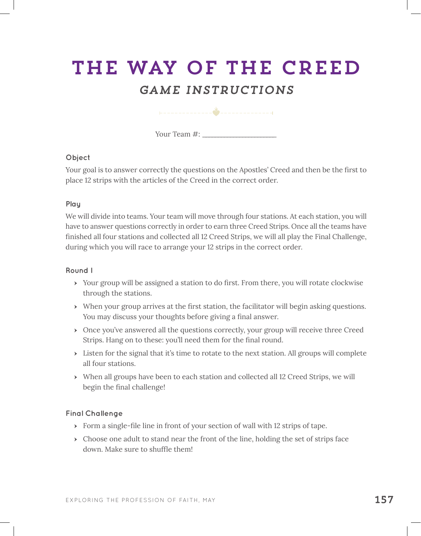# The Way of the Creed

# *Game instructions*

Your Team #: \_\_\_\_\_\_\_\_\_\_\_\_\_\_\_\_\_\_\_\_\_\_\_\_

#### **Object**

Your goal is to answer correctly the questions on the Apostles' Creed and then be the first to place 12 strips with the articles of the Creed in the correct order.

### **Play**

We will divide into teams. Your team will move through four stations. At each station, you will have to answer questions correctly in order to earn three Creed Strips. Once all the teams have finished all four stations and collected all 12 Creed Strips, we will all play the Final Challenge, during which you will race to arrange your 12 strips in the correct order.

#### **Round I**

- ӹ Your group will be assigned a station to do first. From there, you will rotate clockwise through the stations.
- ӹ When your group arrives at the first station, the facilitator will begin asking questions. You may discuss your thoughts before giving a final answer.
- ӹ Once you've answered all the questions correctly, your group will receive three Creed Strips. Hang on to these: you'll need them for the final round.
- $\rightarrow$  Listen for the signal that it's time to rotate to the next station. All groups will complete all four stations.
- ӹ When all groups have been to each station and collected all 12 Creed Strips, we will begin the final challenge!

## **Final Challenge**

- $\rightarrow$  Form a single-file line in front of your section of wall with 12 strips of tape.
- $\rightarrow$  Choose one adult to stand near the front of the line, holding the set of strips face down. Make sure to shuffle them!